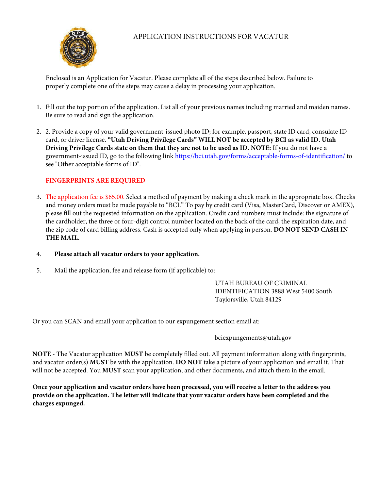

## APPLICATION INSTRUCTIONS FOR VACATUR

Enclosed is an Application for Vacatur. Please complete all of the steps described below. Failure to properly complete one of the steps may cause a delay in processing your application.

- 1. Fill out the top portion of the application. List all of your previous names including married and maiden names. Be sure to read and sign the application.
- 2. 2. Provide a copy of your valid government-issued photo ID; for example, passport, state ID card, consulate ID card, or driver license. **"Utah Driving Privilege Cards" WILL NOT be accepted by BCI as valid ID. Utah Driving Privilege Cards state on them that they are not to be used as ID. NOTE:** If you do not have a government-issued ID, go to the following link https://bci.utah.gov/forms/acceptable-forms-of-identification/ to see "Other acceptable forms of ID".

## **FINGERPRINTS ARE REQUIRED**

3. The application fee is \$65.00. Select a method of payment by making a check mark in the appropriate box. Checks and money orders must be made payable to "BCI." To pay by credit card (Visa, MasterCard, Discover or AMEX), please fill out the requested information on the application. Credit card numbers must include: the signature of the cardholder, the three or four-digit control number located on the back of the card, the expiration date, and the zip code of card billing address. Cash is accepted only when applying in person. **DO NOT SEND CASH IN THE MAIL.**

## 4. **Please attach all vacatur orders to your application.**

5. Mail the application, fee and release form (if applicable) to:

UTAH BUREAU OF CRIMINAL IDENTIFICATION 3888 West 5400 South Taylorsville, Utah 84129

Or you can SCAN and email your application to our expungement section email at:

bciexpungements@utah.gov

**NOTE** - The Vacatur application **MUST** be completely filled out. All payment information along with fingerprints, and vacatur order(s) **MUST** be with the application. **DO NOT** take a picture of your application and email it. That will not be accepted. You **MUST** scan your application, and other documents, and attach them in the email.

**Once your application and vacatur orders have been processed, you will receive a letter to the address you provide on the application. The letter will indicate that your vacatur orders have been completed and the charges expunged.**